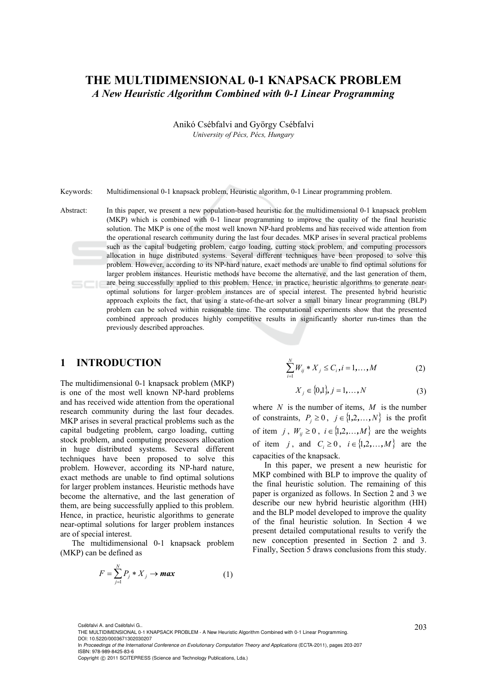# **THE MULTIDIMENSIONAL 0-1 KNAPSACK PROBLEM**  *A New Heuristic Algorithm Combined with 0-1 Linear Programming*

Anikó Csébfalvi and György Csébfalvi *University of Pécs, Pécs, Hungary* 

Keywords: Multidimensional 0-1 knapsack problem, Heuristic algorithm, 0-1 Linear programming problem.

Abstract: In this paper, we present a new population-based heuristic for the multidimensional 0-1 knapsack problem (MKP) which is combined with 0-1 linear programming to improve the quality of the final heuristic solution. The MKP is one of the most well known NP-hard problems and has received wide attention from the operational research community during the last four decades. MKP arises in several practical problems such as the capital budgeting problem, cargo loading, cutting stock problem, and computing processors allocation in huge distributed systems. Several different techniques have been proposed to solve this problem. However, according to its NP-hard nature, exact methods are unable to find optimal solutions for larger problem instances. Heuristic methods have become the alternative, and the last generation of them, are being successfully applied to this problem. Hence, in practice, heuristic algorithms to generate nearoptimal solutions for larger problem instances are of special interest. The presented hybrid heuristic approach exploits the fact, that using a state-of-the-art solver a small binary linear programming (BLP) problem can be solved within reasonable time. The computational experiments show that the presented combined approach produces highly competitive results in significantly shorter run-times than the previously described approaches.

#### **1 INTRODUCTION**

The multidimensional 0-1 knapsack problem (MKP) is one of the most well known NP-hard problems and has received wide attention from the operational research community during the last four decades. MKP arises in several practical problems such as the capital budgeting problem, cargo loading, cutting stock problem, and computing processors allocation in huge distributed systems. Several different techniques have been proposed to solve this problem. However, according its NP-hard nature, exact methods are unable to find optimal solutions for larger problem instances. Heuristic methods have become the alternative, and the last generation of them, are being successfully applied to this problem. Hence, in practice, heuristic algorithms to generate near-optimal solutions for larger problem instances are of special interest.

The multidimensional 0-1 knapsack problem (MKP) can be defined as

$$
F = \sum_{j=1}^{N} P_j * X_j \to \text{max}
$$
 (1)

$$
\sum_{i=1}^{N} W_{ij} * X_j \le C_i, i = 1, ..., M
$$
 (2)

$$
X_j \in \{0,1\}, j = 1, \dots, N \tag{3}
$$

where *N* is the number of items, *M* is the number of constraints,  $P_i \ge 0$ ,  $j \in \{1, 2, ..., N\}$  is the profit of item *j*,  $W_{ii} \ge 0$ ,  $i \in \{1, 2, ..., M\}$  are the weights of item *j*, and  $C_i \geq 0$ ,  $i \in \{1, 2, ..., M\}$  are the capacities of the knapsack.

In this paper, we present a new heuristic for MKP combined with BLP to improve the quality of the final heuristic solution. The remaining of this paper is organized as follows. In Section 2 and 3 we describe our new hybrid heuristic algorithm (HH) and the BLP model developed to improve the quality of the final heuristic solution. In Section 4 we present detailed computational results to verify the new conception presented in Section 2 and 3. Finally, Section 5 draws conclusions from this study.

<sup>203</sup> Csébfalvi A. and Csébfalvi G.. THE MULTIDIMENSIONAL 0-1 KNAPSACK PROBLEM - A New Heuristic Algorithm Combined with 0-1 Linear Programming. DOI: 10.5220/0003671302030207

In *Proceedings of the International Conference on Evolutionary Computation Theory and Applications* (ECTA-2011), pages 203-207 ISBN: 978-989-8425-83-6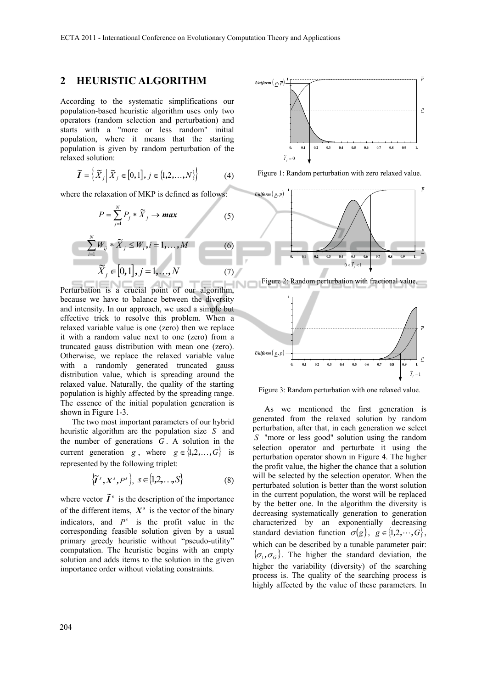## **2 HEURISTIC ALGORITHM**

According to the systematic simplifications our population-based heuristic algorithm uses only two operators (random selection and perturbation) and starts with a "more or less random" initial population, where it means that the starting population is given by random perturbation of the relaxed solution:

$$
\widetilde{\boldsymbol{I}} = \left\{ \widetilde{\boldsymbol{X}}_j \middle| \widetilde{\boldsymbol{X}}_j \in [0,1], j \in \{1,2,\ldots,N\} \right\} \tag{4}
$$

where the relaxation of MKP is defined as follows:

$$
P = \sum_{j=1}^{N} P_j * \widetilde{X}_j \to \text{max}
$$
\n
$$
\sum_{i=1}^{N} W_{ij} * \widetilde{X}_j \le W_i, i = 1, \dots, M
$$
\n
$$
\widetilde{X}_j \in [0,1], j = 1, \dots, N
$$
\n(6)

Perturbation is a crucial point of our algorithm, because we have to balance between the diversity and intensity. In our approach, we used a simple but effective trick to resolve this problem. When a relaxed variable value is one (zero) then we replace it with a random value next to one (zero) from a truncated gauss distribution with mean one (zero). Otherwise, we replace the relaxed variable value with a randomly generated truncated gauss distribution value, which is spreading around the relaxed value. Naturally, the quality of the starting population is highly affected by the spreading range. The essence of the initial population generation is shown in Figure 1-3.

The two most important parameters of our hybrid heuristic algorithm are the population size *S* and the number of generations *G* . A solution in the current generation *g*, where  $g \in \{1,2,\ldots,G\}$  is represented by the following triplet:

$$
\left\{\widetilde{\boldsymbol{I}}^s, \boldsymbol{X}^s, \boldsymbol{P}^s\right\}, \ \boldsymbol{S} \in \left\{\mathbf{1}, \mathbf{2}, \ldots, \boldsymbol{S}\right\} \tag{8}
$$

where vector  $\widetilde{I}^s$  is the description of the importance of the different items,  $X^s$  is the vector of the binary indicators, and  $P^s$  is the profit value in the corresponding feasible solution given by a usual primary greedy heuristic without "pseudo-utility" computation. The heuristic begins with an empty solution and adds items to the solution in the given importance order without violating constraints.



Figure 1: Random perturbation with zero relaxed value.



Figure 2: Random perturbation with fractional value.



Figure 3: Random perturbation with one relaxed value.

As we mentioned the first generation is generated from the relaxed solution by random perturbation, after that, in each generation we select *S* "more or less good" solution using the random selection operator and perturbate it using the perturbation operator shown in Figure 4. The higher the profit value, the higher the chance that a solution will be selected by the selection operator. When the perturbated solution is better than the worst solution in the current population, the worst will be replaced by the better one. In the algorithm the diversity is decreasing systematically generation to generation characterized by an exponentially decreasing standard deviation function  $\sigma(g)$ ,  $g \in \{1, 2, \dots, G\}$ , which can be described by a tunable parameter pair:  $\{\sigma_1, \sigma_6\}$ . The higher the standard deviation, the higher the variability (diversity) of the searching process is. The quality of the searching process is highly affected by the value of these parameters. In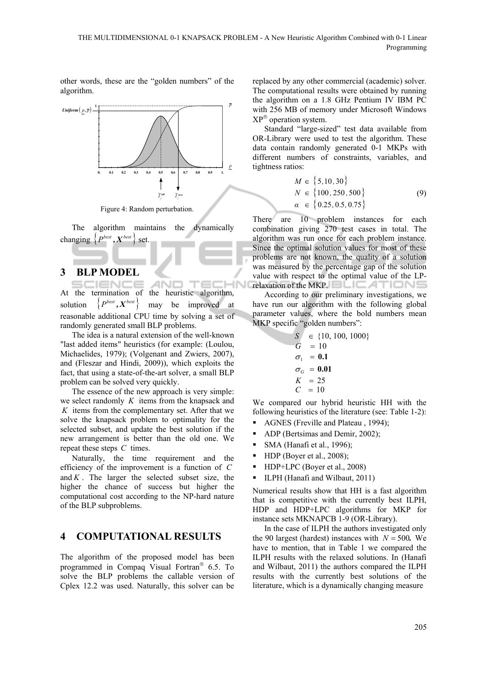other words, these are the "golden numbers" of the algorithm.



Figure 4: Random perturbation.

The algorithm maintains the dynamically changing  $\{P^{best}, X^{best}\}\$  set.

#### **3 BLP MODEL**

AND  $T \in C$ **HN** IENCE At the termination of the heuristic algorithm, solution  $\{P^{best}, X^{best}\}\$  may be improved at reasonable additional CPU time by solving a set of randomly generated small BLP problems.

The idea is a natural extension of the well-known "last added items" heuristics (for example: (Loulou, Michaelides, 1979); (Volgenant and Zwiers, 2007), and (Fleszar and Hindi, 2009)), which exploits the fact, that using a state-of-the-art solver, a small BLP problem can be solved very quickly.

The essence of the new approach is very simple: we select randomly *K* items from the knapsack and *K* items from the complementary set. After that we solve the knapsack problem to optimality for the selected subset, and update the best solution if the new arrangement is better than the old one. We repeat these steps *C* times.

Naturally, the time requirement and the efficiency of the improvement is a function of *C* and  $K$ . The larger the selected subset size, the higher the chance of success but higher the computational cost according to the NP-hard nature of the BLP subproblems.

## **4 COMPUTATIONAL RESULTS**

The algorithm of the proposed model has been programmed in Compaq Visual Fortran<sup>®</sup> 6.5. To solve the BLP problems the callable version of Cplex 12.2 was used. Naturally, this solver can be

replaced by any other commercial (academic) solver. The computational results were obtained by running the algorithm on a 1.8 GHz Pentium IV IBM PC with 256 MB of memory under Microsoft Windows  $XP^{\circledR}$  operation system.

Standard "large-sized" test data available from OR-Library were used to test the algorithm. These data contain randomly generated 0-1 MKPs with different numbers of constraints, variables, and tightness ratios:

$$
M \in \{5, 10, 30\}
$$
  
\n
$$
N \in \{100, 250, 500\}
$$
  
\n
$$
\alpha \in \{0.25, 0.5, 0.75\}
$$
 (9)

There are 10 problem instances for each combination giving 270 test cases in total. The algorithm was run once for each problem instance. Since the optimal solution values for most of these problems are not known, the quality of a solution was measured by the percentage gap of the solution value with respect to the optimal value of the LPrelaxation of the MKP. **ELICATIONS** 

According to our preliminary investigations, we have run our algorithm with the following global parameter values, where the bold numbers mean MKP specific "golden numbers":

$$
S \in \{10, 100, 1000\}
$$
  
\n
$$
G = 10
$$
  
\n
$$
\sigma_1 = 0.1
$$
  
\n
$$
\sigma_G = 0.01
$$
  
\n
$$
K = 25
$$
  
\n
$$
C = 10
$$

We compared our hybrid heuristic HH with the following heuristics of the literature (see: Table 1-2):

- AGNES (Freville and Plateau , 1994);
- ADP (Bertsimas and Demir, 2002);
- SMA (Hanafi et al., 1996);
- $\blacksquare$  HDP (Boyer et al., 2008);
- HDP+LPC (Boyer et al., 2008)
- ILPH (Hanafi and Wilbaut, 2011)

Numerical results show that HH is a fast algorithm that is competitive with the currently best ILPH, HDP and HDP+LPC algorithms for MKP for instance sets MKNAPCB 1-9 (OR-Library).

In the case of ILPH the authors investigated only the 90 largest (hardest) instances with  $N = 500$ . We have to mention, that in Table 1 we compared the ILPH results with the relaxed solutions. In (Hanafi and Wilbaut, 2011) the authors compared the ILPH results with the currently best solutions of the literature, which is a dynamically changing measure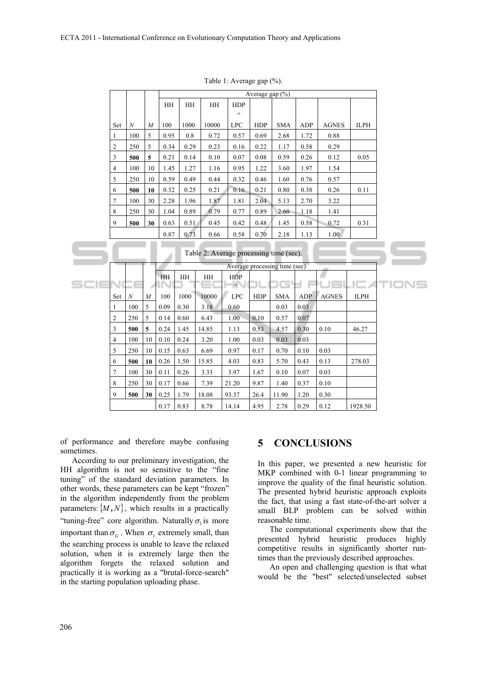|                |                                                                          |     |                  | Average gap (%) |      |       |                              |            |            |            |              |             |
|----------------|--------------------------------------------------------------------------|-----|------------------|-----------------|------|-------|------------------------------|------------|------------|------------|--------------|-------------|
|                |                                                                          |     |                  | HH              | HH   | HH    | <b>HDP</b>                   |            |            |            |              |             |
|                |                                                                          |     |                  |                 |      |       | $\qquad \qquad +$            |            |            |            |              |             |
|                | Set                                                                      | N   | $\overline{M}$   | 100             | 1000 | 10000 | <b>LPC</b>                   | <b>HDP</b> | <b>SMA</b> | ADP        | <b>AGNES</b> | <b>ILPH</b> |
| 1              |                                                                          | 100 | 5                | 0.95            | 0.8  | 0.72  | 0.57                         | 0.69       | 2.68       | 1.72       | 0.88         |             |
| $\overline{2}$ |                                                                          | 250 | 5                | 0.34            | 0.29 | 0.23  | 0.16                         | 0.22       | 1.17       | 0.58       | 0.29         |             |
| 3              |                                                                          | 500 | 5                | 0.21            | 0.14 | 0.10  | 0.07                         | 0.08       | 0.59       | 0.26       | 0.12         | 0.05        |
| $\overline{4}$ |                                                                          | 100 | 10               | 1.45            | 1.27 | 1.16  | 0.95                         | 1.22       | 3.60       | 1.97       | 1.54         |             |
| 5              |                                                                          | 250 | 10               | 0.59            | 0.49 | 0.44  | 0.32                         | 0.46       | 1.60       | 0.76       | 0.57         |             |
| 6              |                                                                          | 500 | 10               | 0.32            | 0.25 | 0.21  | 0.16                         | 0.21       | 0.80       | 0.38       | 0.26         | 0.11        |
| 7              |                                                                          | 100 | 30               | 2.28            | 1.96 | 1.87  | 1.81                         | 2.04       | 5.13       | 2.70       | 3.22         |             |
| 8              |                                                                          | 250 | 30               | 1.04            | 0.89 | 0.79  | 0.77                         | 0.89       | 2.60       | 1.18       | 1.41         |             |
| $\mathbf{Q}$   |                                                                          | 500 | 30               | 0.63            | 0.51 | 0.45  | 0.42                         | 0.48       | 1.45       | 0.58       | 0.72         | 0.31        |
|                |                                                                          |     |                  | 0.87            | 0.73 | 0.66  | 0.58                         | 0.70       | 2.18       | 1.13       | 1.00         |             |
|                | Table 2: Average processing time (sec).<br>Average processing time (sec) |     |                  |                 |      |       |                              |            |            |            |              |             |
|                |                                                                          |     |                  | HH              | HH   | HH    | <b>HDP</b>                   |            |            |            |              |             |
|                |                                                                          |     |                  |                 |      |       |                              |            |            |            |              |             |
|                |                                                                          |     |                  |                 |      |       | $\left  \cdot \right\rangle$ |            | н          |            |              |             |
|                | Set                                                                      | N   | $\boldsymbol{M}$ | 100             | 1000 | 10000 | <b>LPC</b>                   | <b>HDP</b> | <b>SMA</b> | <b>ADP</b> | <b>AGNES</b> | <b>ILPH</b> |
| 1              |                                                                          | 100 | 5                | 0.09            | 0.30 | 3.18  | 0.60                         |            | 0.03       | 0.03       |              |             |
| $\overline{2}$ |                                                                          | 250 | 5                | 0.14            | 0.60 | 6.43  | 1.00                         | 0.10       | 0.57       | 0.07       |              |             |
| 3              |                                                                          | 500 | 5                | 0.24            | 1.45 | 14.85 | 1.13                         | 0.53       | 4.57       | 0.30       | 0.10         | 46.27       |
| $\overline{4}$ |                                                                          | 100 | 10               | 0.10            | 0.24 | 3.20  | 1.00                         | 0.03       | 0.03       | 0.03       |              |             |
| 5              |                                                                          | 250 | 10               | 0.15            | 0.63 | 6.69  | 0.97                         | 0.17       | 0.70       | 0.10       | 0.03         |             |
| 6              |                                                                          | 500 | 10               | 0.26            | 1.50 | 15.85 | 4.03                         | 0.83       | 5.70       | 0.43       | 0.13         | 278.03      |
| 7              |                                                                          | 100 | 30               | 0.11            | 0.26 | 3.33  | 3.97                         | 1.67       | 0.10       | 0.07       | 0.03         |             |
| 8              |                                                                          | 250 | 30               | 0.17            | 0.66 | 7.39  | 21.20                        | 9.87       | 1.40       | 0.37       | 0.10         |             |
| 9              |                                                                          | 500 | 30               | 0.25            | 1.79 | 18.08 | 93.37                        | 26.4       | 11.90      | $1.20\,$   | 0.30         |             |

Table 1: Average gap (%).

of performance and therefore maybe confusing sometimes.

According to our preliminary investigation, the HH algorithm is not so sensitive to the "fine tuning" of the standard deviation parameters. In other words, these parameters can be kept "frozen" in the algorithm independently from the problem parameters:  $\{M, N\}$ , which results in a practically "tuning-free" core algorithm. Naturally  $\sigma_1$  is more important than  $\sigma_G$ . When  $\sigma_1$  extremely small, than the searching process is unable to leave the relaxed solution, when it is extremely large then the algorithm forgets the relaxed solution and practically it is working as a "brutal-force-search" in the starting population uploading phase.

#### **5 CONCLUSIONS**

In this paper, we presented a new heuristic for MKP combined with 0-1 linear programming to improve the quality of the final heuristic solution. The presented hybrid heuristic approach exploits the fact, that using a fast state-of-the-art solver a small BLP problem can be solved within reasonable time.

The computational experiments show that the presented hybrid heuristic produces highly competitive results in significantly shorter runtimes than the previously described approaches.

An open and challenging question is that what would be the "best" selected/unselected subset